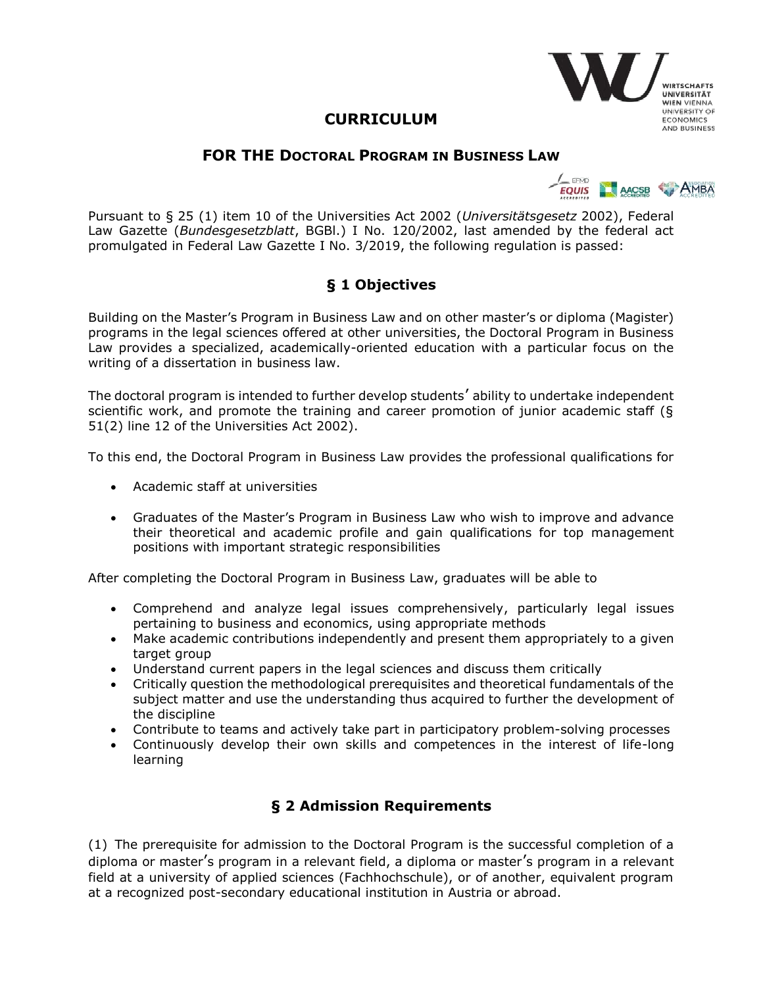# **CURRICULUM**

#### **FOR THE DOCTORAL PROGRAM IN BUSINESS LAW**



**IRTSCHAFTS UNIVERSITÄT WIEN VIENNA UNIVERSITY OF ECONOMICS AND BUSINESS** 

Pursuant to § 25 (1) item 10 of the Universities Act 2002 (*Universitätsgesetz* 2002), Federal Law Gazette (*Bundesgesetzblatt*, BGBl.) I No. 120/2002, last amended by the federal act promulgated in Federal Law Gazette I No. 3/2019, the following regulation is passed:

# **§ 1 Objectives**

Building on the Master's Program in Business Law and on other master's or diploma (Magister) programs in the legal sciences offered at other universities, the Doctoral Program in Business Law provides a specialized, academically-oriented education with a particular focus on the writing of a dissertation in business law.

The doctoral program is intended to further develop students' ability to undertake independent scientific work, and promote the training and career promotion of junior academic staff (§ 51(2) line 12 of the Universities Act 2002).

To this end, the Doctoral Program in Business Law provides the professional qualifications for

- Academic staff at universities
- Graduates of the Master's Program in Business Law who wish to improve and advance their theoretical and academic profile and gain qualifications for top management positions with important strategic responsibilities

After completing the Doctoral Program in Business Law, graduates will be able to

- Comprehend and analyze legal issues comprehensively, particularly legal issues pertaining to business and economics, using appropriate methods
- Make academic contributions independently and present them appropriately to a given target group
- Understand current papers in the legal sciences and discuss them critically
- Critically question the methodological prerequisites and theoretical fundamentals of the subject matter and use the understanding thus acquired to further the development of the discipline
- Contribute to teams and actively take part in participatory problem-solving processes
- Continuously develop their own skills and competences in the interest of life-long learning

### **§ 2 Admission Requirements**

(1) The prerequisite for admission to the Doctoral Program is the successful completion of a diploma or master's program in a relevant field, a diploma or master's program in a relevant field at a university of applied sciences (Fachhochschule), or of another, equivalent program at a recognized post-secondary educational institution in Austria or abroad.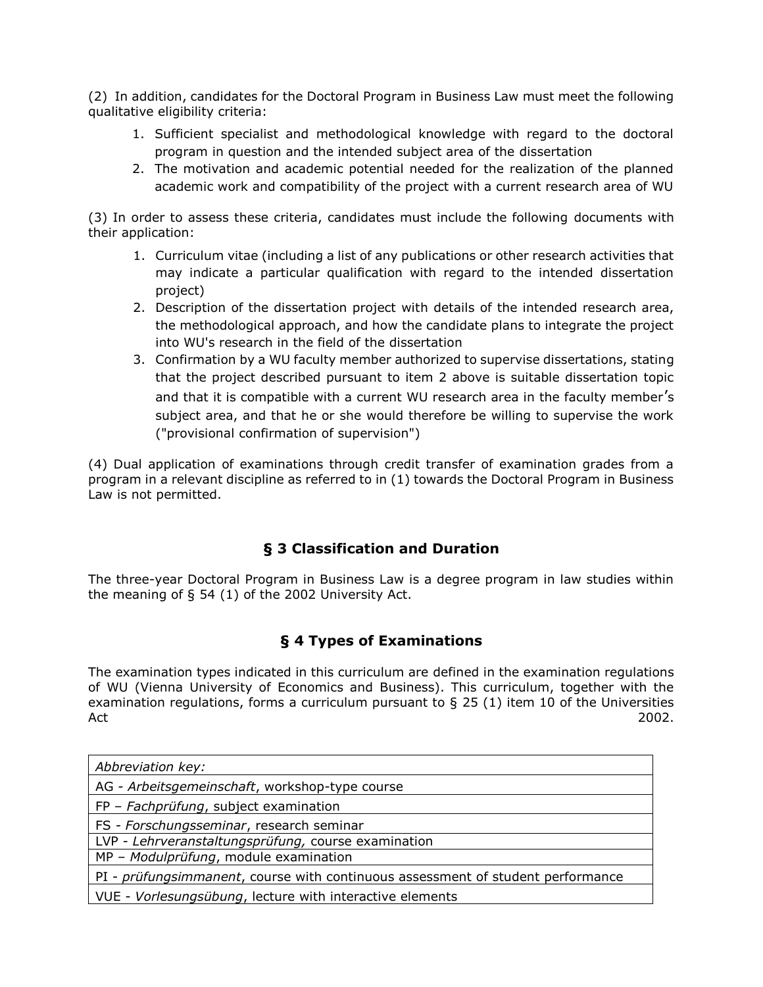(2) In addition, candidates for the Doctoral Program in Business Law must meet the following qualitative eligibility criteria:

- 1. Sufficient specialist and methodological knowledge with regard to the doctoral program in question and the intended subject area of the dissertation
- 2. The motivation and academic potential needed for the realization of the planned academic work and compatibility of the project with a current research area of WU

(3) In order to assess these criteria, candidates must include the following documents with their application:

- 1. Curriculum vitae (including a list of any publications or other research activities that may indicate a particular qualification with regard to the intended dissertation project)
- 2. Description of the dissertation project with details of the intended research area, the methodological approach, and how the candidate plans to integrate the project into WU's research in the field of the dissertation
- 3. Confirmation by a WU faculty member authorized to supervise dissertations, stating that the project described pursuant to item 2 above is suitable dissertation topic and that it is compatible with a current WU research area in the faculty member's subject area, and that he or she would therefore be willing to supervise the work ("provisional confirmation of supervision")

(4) Dual application of examinations through credit transfer of examination grades from a program in a relevant discipline as referred to in (1) towards the Doctoral Program in Business Law is not permitted.

#### **§ 3 Classification and Duration**

The three-year Doctoral Program in Business Law is a degree program in law studies within the meaning of § 54 (1) of the 2002 University Act.

#### **§ 4 Types of Examinations**

The examination types indicated in this curriculum are defined in the examination regulations of WU (Vienna University of Economics and Business). This curriculum, together with the examination regulations, forms a curriculum pursuant to  $\S$  25 (1) item 10 of the Universities  $\overline{\phantom{a}}$ Act  $\overline{\phantom{a}}$ 2002.

| Abbreviation key:                                                               |
|---------------------------------------------------------------------------------|
| AG - Arbeitsgemeinschaft, workshop-type course                                  |
| FP - Fachprüfung, subject examination                                           |
| FS - Forschungsseminar, research seminar                                        |
| LVP - Lehrveranstaltungsprüfung, course examination                             |
| MP - Modulprüfung, module examination                                           |
| PI - prüfungsimmanent, course with continuous assessment of student performance |
| VUE - Vorlesungsübung, lecture with interactive elements                        |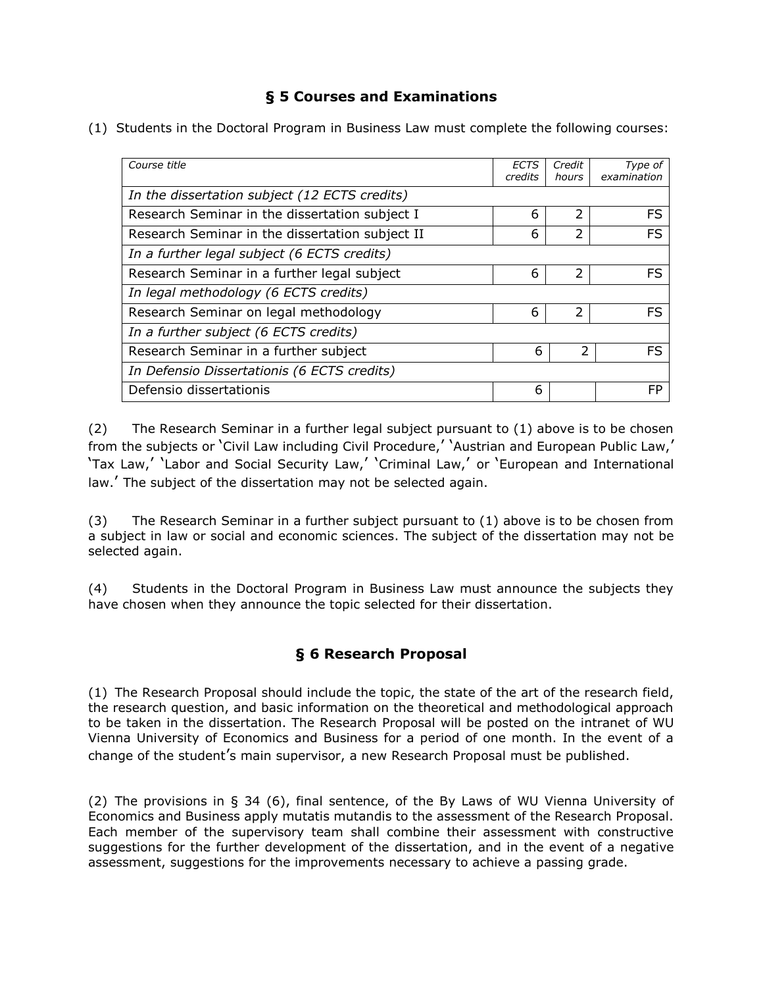### **§ 5 Courses and Examinations**

(1) Students in the Doctoral Program in Business Law must complete the following courses:

| Course title                                    | ECTS    | Credit         | Type of     |
|-------------------------------------------------|---------|----------------|-------------|
|                                                 | credits | hours          | examination |
|                                                 |         |                |             |
| In the dissertation subject (12 ECTS credits)   |         |                |             |
| Research Seminar in the dissertation subject I  | 6       | $\overline{2}$ | <b>FS</b>   |
|                                                 |         |                |             |
| Research Seminar in the dissertation subject II | 6       | 2              | FS          |
| In a further legal subject (6 ECTS credits)     |         |                |             |
| Research Seminar in a further legal subject     | 6       | $\overline{2}$ | FS          |
| In legal methodology (6 ECTS credits)           |         |                |             |
| Research Seminar on legal methodology           | 6       | $\overline{2}$ | FS          |
| In a further subject (6 ECTS credits)           |         |                |             |
| Research Seminar in a further subject           | 6       | 2              | FS          |
| In Defensio Dissertationis (6 ECTS credits)     |         |                |             |
| Defensio dissertationis                         | 6       |                | FP          |

(2) The Research Seminar in a further legal subject pursuant to (1) above is to be chosen from the subjects or 'Civil Law including Civil Procedure,' 'Austrian and European Public Law,' 'Tax Law,' 'Labor and Social Security Law,' 'Criminal Law,' or 'European and International law.' The subject of the dissertation may not be selected again.

(3) The Research Seminar in a further subject pursuant to (1) above is to be chosen from a subject in law or social and economic sciences. The subject of the dissertation may not be selected again.

(4) Students in the Doctoral Program in Business Law must announce the subjects they have chosen when they announce the topic selected for their dissertation.

#### **§ 6 Research Proposal**

(1) The Research Proposal should include the topic, the state of the art of the research field, the research question, and basic information on the theoretical and methodological approach to be taken in the dissertation. The Research Proposal will be posted on the intranet of WU Vienna University of Economics and Business for a period of one month. In the event of a change of the student's main supervisor, a new Research Proposal must be published.

(2) The provisions in § 34 (6), final sentence, of the By Laws of WU Vienna University of Economics and Business apply mutatis mutandis to the assessment of the Research Proposal. Each member of the supervisory team shall combine their assessment with constructive suggestions for the further development of the dissertation, and in the event of a negative assessment, suggestions for the improvements necessary to achieve a passing grade.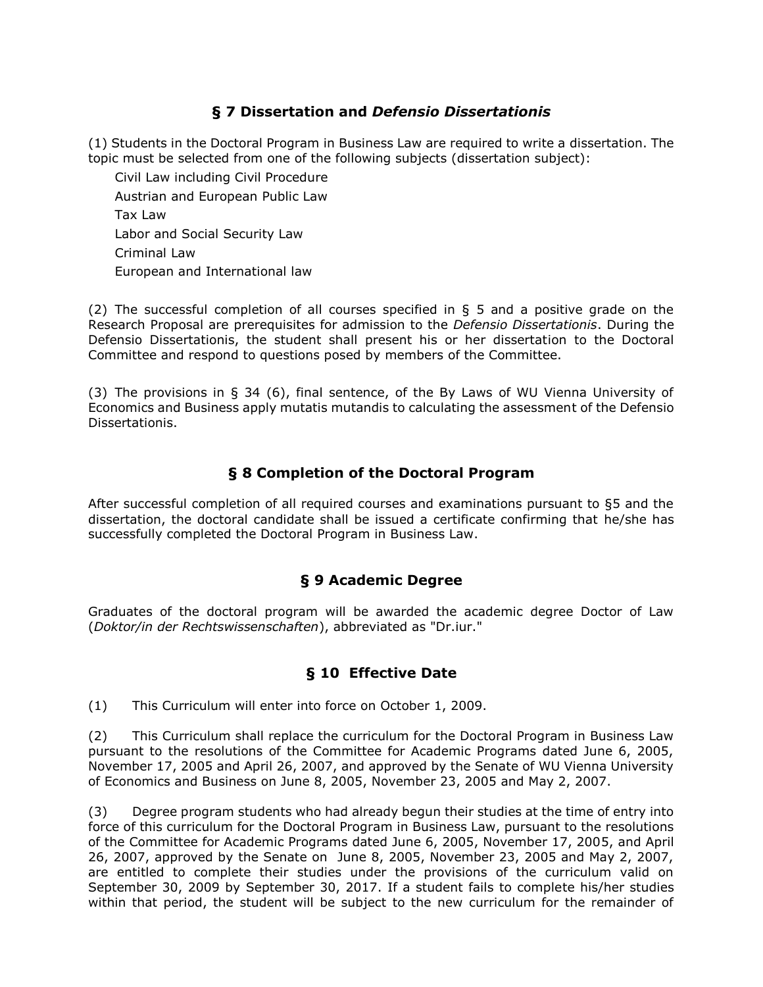#### **§ 7 Dissertation and** *Defensio Dissertationis*

(1) Students in the Doctoral Program in Business Law are required to write a dissertation. The topic must be selected from one of the following subjects (dissertation subject):

Civil Law including Civil Procedure Austrian and European Public Law Tax Law Labor and Social Security Law Criminal Law European and International law

(2) The successful completion of all courses specified in § 5 and a positive grade on the Research Proposal are prerequisites for admission to the *Defensio Dissertationis*. During the Defensio Dissertationis, the student shall present his or her dissertation to the Doctoral Committee and respond to questions posed by members of the Committee.

(3) The provisions in § 34 (6), final sentence, of the By Laws of WU Vienna University of Economics and Business apply mutatis mutandis to calculating the assessment of the Defensio Dissertationis.

#### **§ 8 Completion of the Doctoral Program**

After successful completion of all required courses and examinations pursuant to §5 and the dissertation, the doctoral candidate shall be issued a certificate confirming that he/she has successfully completed the Doctoral Program in Business Law.

#### **§ 9 Academic Degree**

Graduates of the doctoral program will be awarded the academic degree Doctor of Law (*Doktor/in der Rechtswissenschaften*), abbreviated as "Dr.iur."

#### **§ 10 Effective Date**

(1) This Curriculum will enter into force on October 1, 2009.

(2) This Curriculum shall replace the curriculum for the Doctoral Program in Business Law pursuant to the resolutions of the Committee for Academic Programs dated June 6, 2005, November 17, 2005 and April 26, 2007, and approved by the Senate of WU Vienna University of Economics and Business on June 8, 2005, November 23, 2005 and May 2, 2007.

(3) Degree program students who had already begun their studies at the time of entry into force of this curriculum for the Doctoral Program in Business Law, pursuant to the resolutions of the Committee for Academic Programs dated June 6, 2005, November 17, 2005, and April 26, 2007, approved by the Senate on June 8, 2005, November 23, 2005 and May 2, 2007, are entitled to complete their studies under the provisions of the curriculum valid on September 30, 2009 by September 30, 2017. If a student fails to complete his/her studies within that period, the student will be subject to the new curriculum for the remainder of